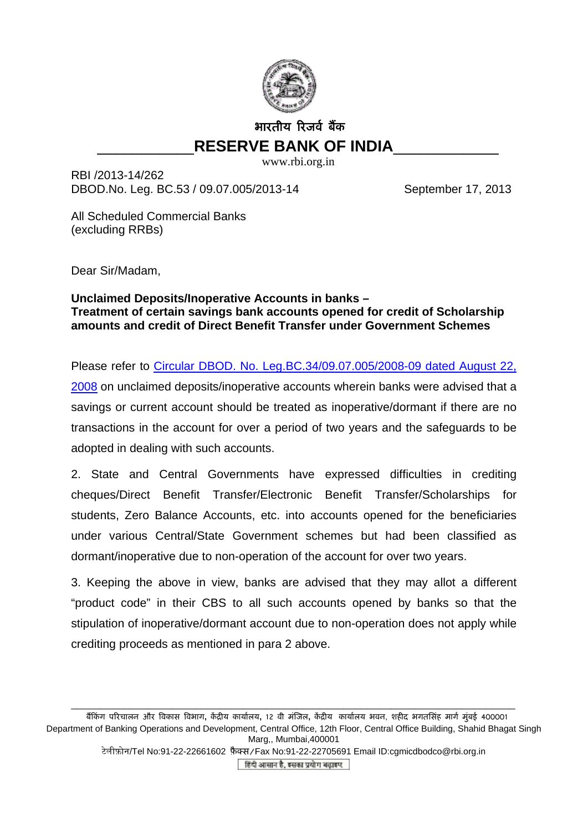

## भारतीय रिजर्व बैंक \_\_\_\_\_\_\_\_\_\_\_**RESERVE BANK OF INDIA**\_\_\_\_\_\_\_\_\_\_\_\_

www.rbi.org.in

RBI /2013-14/262 DBOD.No. Leg. BC.53 / 09.07.005/2013-14 September 17, 2013

All Scheduled Commercial Banks (excluding RRBs)

Dear Sir/Madam,

## **Unclaimed Deposits/Inoperative Accounts in banks – Treatment of certain savings bank accounts opened for credit of Scholarship amounts and credit of Direct Benefit Transfer under Government Schemes**

Please refer to [Circular DBOD. No. Leg.BC.34/09.07.005/2008-09 dated August 22,](http://www.rbi.org.in/scripts/NotificationUser.aspx?Id=4430&Mode=0) [2008](http://www.rbi.org.in/scripts/NotificationUser.aspx?Id=4430&Mode=0) on unclaimed deposits/inoperative accounts wherein banks were advised that a savings or current account should be treated as inoperative/dormant if there are no transactions in the account for over a period of two years and the safeguards to be adopted in dealing with such accounts.

2. State and Central Governments have expressed difficulties in crediting cheques/Direct Benefit Transfer/Electronic Benefit Transfer/Scholarships for students, Zero Balance Accounts, etc. into accounts opened for the beneficiaries under various Central/State Government schemes but had been classified as dormant/inoperative due to non-operation of the account for over two years.

3. Keeping the above in view, banks are advised that they may allot a different "product code" in their CBS to all such accounts opened by banks so that the stipulation of inoperative/dormant account due to non-operation does not apply while crediting proceeds as mentioned in para 2 above.

\_\_\_\_\_\_\_\_\_\_\_\_\_\_\_\_\_\_\_\_\_\_\_\_\_\_\_\_\_\_\_\_\_\_\_\_\_\_\_\_\_\_\_\_\_\_\_\_\_\_\_\_\_\_\_\_\_\_\_\_\_\_\_\_\_\_\_\_\_\_\_\_\_\_\_

बैंकिंग परिचालन और विकास विभाग, केंद्रीय कार्यालय, 12 वी मंजिल, केंद्रीय कार्यालय भवन, शहीद भगतसिंह मार्ग मुंबई 400001 Department of Banking Operations and Development, Central Office, 12th Floor, Central Office Building, Shahid Bhagat Singh Marg,, Mumbai,400001